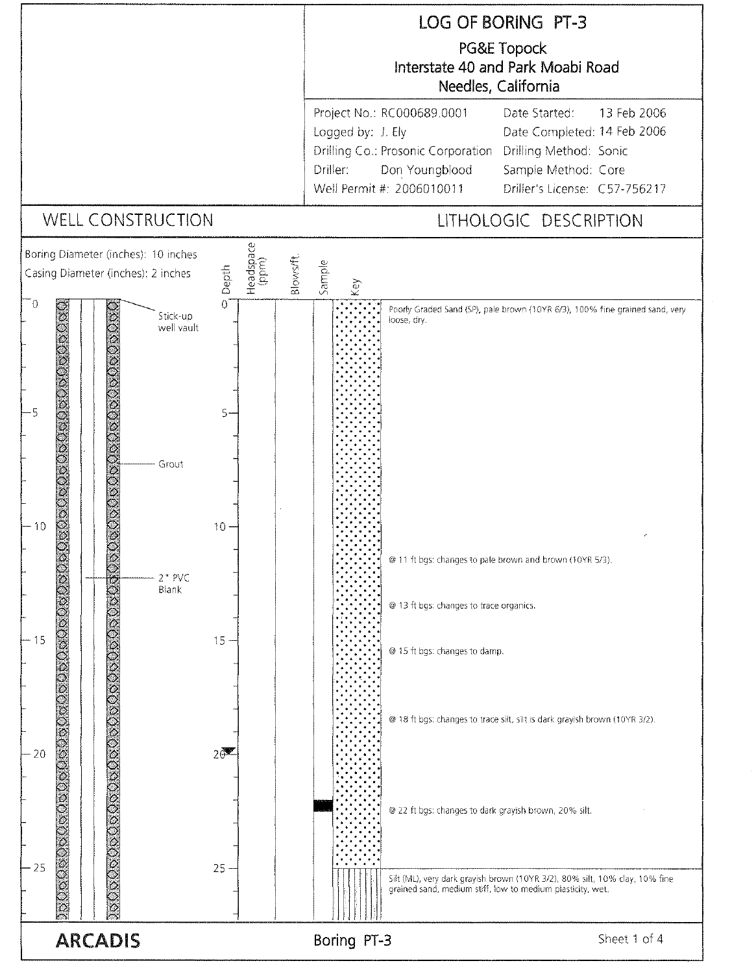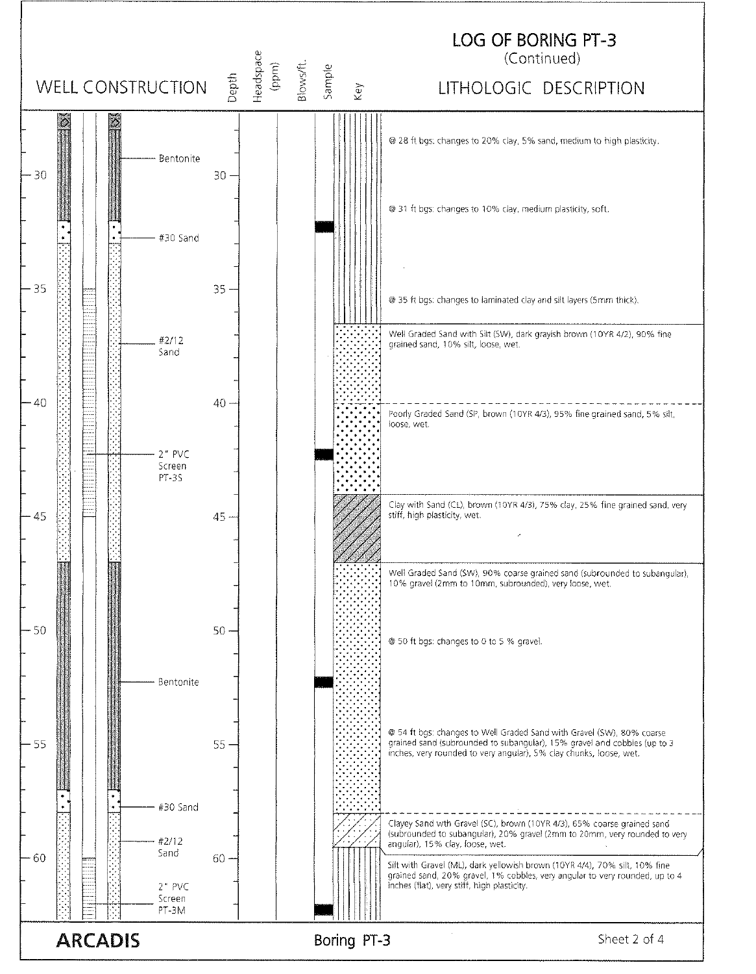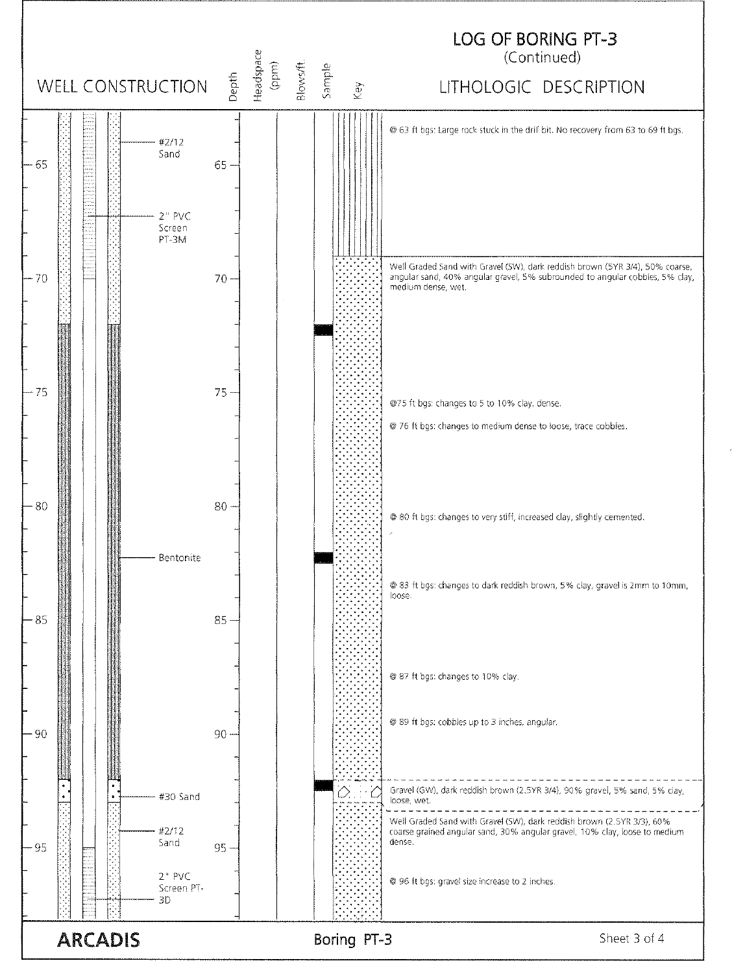